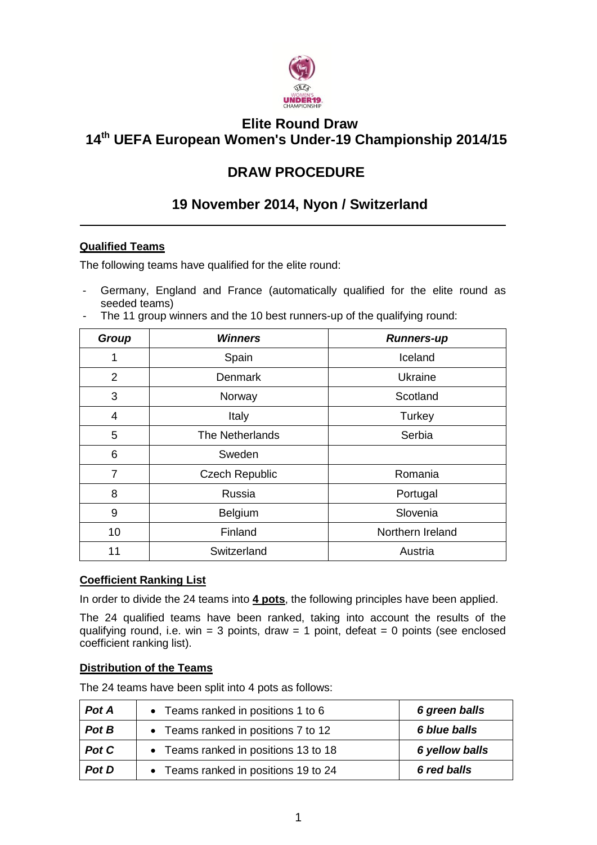

## **Elite Round Draw 14 th UEFA European Women's Under-19 Championship 2014/15**

# **DRAW PROCEDURE**

## **19 November 2014, Nyon / Switzerland**

## **Qualified Teams**

The following teams have qualified for the elite round:

- Germany, England and France (automatically qualified for the elite round as seeded teams)<br>The 11 group wir

| The TT group winners and the TU best runners-up of the qualifying round: |                       |                   |  |
|--------------------------------------------------------------------------|-----------------------|-------------------|--|
| Group                                                                    | <b>Winners</b>        | <b>Runners-up</b> |  |
| 1                                                                        | Spain                 | Iceland           |  |
| $\overline{2}$                                                           | <b>Denmark</b>        | Ukraine           |  |
| 3                                                                        | Norway                | Scotland          |  |
| $\overline{4}$                                                           | Italy                 | Turkey            |  |
| 5                                                                        | The Netherlands       | Serbia            |  |
| 6                                                                        | Sweden                |                   |  |
| $\overline{7}$                                                           | <b>Czech Republic</b> | Romania           |  |
| 8                                                                        | Russia                | Portugal          |  |
| 9                                                                        | <b>Belgium</b>        | Slovenia          |  |
| 10                                                                       | Finland               | Northern Ireland  |  |
| 11                                                                       | Switzerland           | Austria           |  |

- The 11 group winners and the 10 best runners-up of the qualifying round:

### **Coefficient Ranking List**

In order to divide the 24 teams into **4 pots**, the following principles have been applied.

The 24 qualified teams have been ranked, taking into account the results of the qualifying round, i.e. win = 3 points, draw = 1 point, defeat = 0 points (see enclosed coefficient ranking list).

### **Distribution of the Teams**

The 24 teams have been split into 4 pots as follows:

| Pot A | • Teams ranked in positions 1 to 6   | 6 green balls  |
|-------|--------------------------------------|----------------|
| Pot B | • Teams ranked in positions 7 to 12  | 6 blue balls   |
| Pot C | • Teams ranked in positions 13 to 18 | 6 yellow balls |
| Pot D | • Teams ranked in positions 19 to 24 | 6 red balls    |